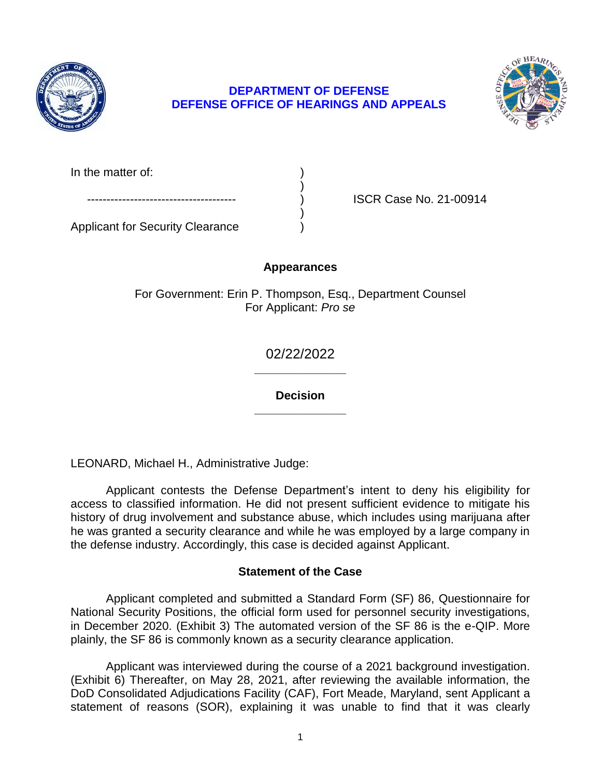

# **DEFENSE OFFICE OF HEARINGS AND APPEALS DEPARTMENT OF DEFENSE**



In the matter of:

ISCR Case No. 21-00914

Applicant for Security Clearance )

# **Appearances**

)

)

For Government: Erin P. Thompson, Esq., Department Counsel For Applicant: *Pro se* 

> **\_\_\_\_\_\_\_\_\_\_\_\_\_\_**  02/22/2022

> **\_\_\_\_\_\_\_\_\_\_\_\_\_\_ Decision**

LEONARD, Michael H., Administrative Judge:

 Applicant contests the Defense Department's intent to deny his eligibility for access to classified information. He did not present sufficient evidence to mitigate his history of drug involvement and substance abuse, which includes using marijuana after he was granted a security clearance and while he was employed by a large company in the defense industry. Accordingly, this case is decided against Applicant.

## **Statement of the Case**

 Applicant completed and submitted a Standard Form (SF) 86, Questionnaire for National Security Positions, the official form used for personnel security investigations, in December 2020. (Exhibit 3) The automated version of the SF 86 is the e-QIP. More plainly, the SF 86 is commonly known as a security clearance application.

 Applicant was interviewed during the course of a 2021 background investigation. (Exhibit 6) Thereafter, on May 28, 2021, after reviewing the available information, the statement of reasons (SOR), explaining it was unable to find that it was clearly DoD Consolidated Adjudications Facility (CAF), Fort Meade, Maryland, sent Applicant a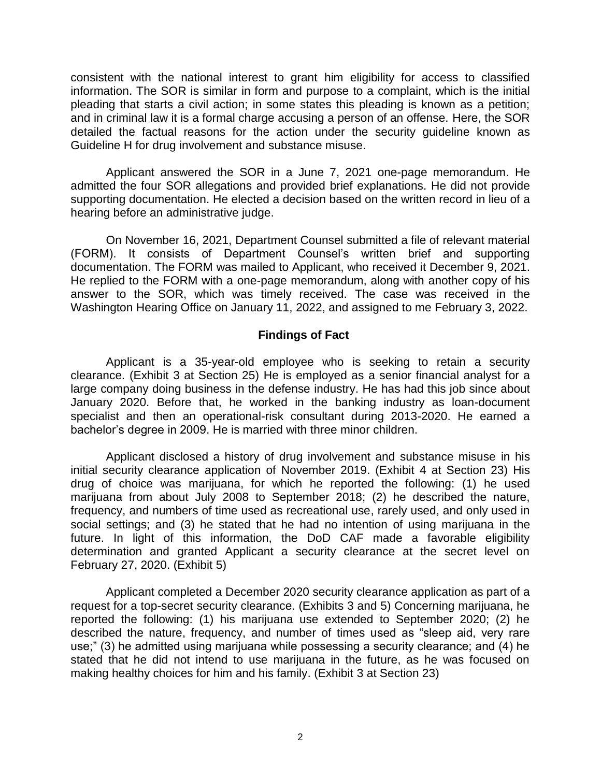consistent with the national interest to grant him eligibility for access to classified information. The SOR is similar in form and purpose to a complaint, which is the initial pleading that starts a civil action; in some states this pleading is known as a petition; and in criminal law it is a formal charge accusing a person of an offense. Here, the SOR detailed the factual reasons for the action under the security guideline known as Guideline H for drug involvement and substance misuse.

 Applicant answered the SOR in a June 7, 2021 one-page memorandum. He admitted the four SOR allegations and provided brief explanations. He did not provide supporting documentation. He elected a decision based on the written record in lieu of a hearing before an administrative judge.

On November 16, 2021, Department Counsel submitted a file of relevant material (FORM). It consists of Department Counsel's written brief and supporting documentation. The FORM was mailed to Applicant, who received it December 9, 2021. He replied to the FORM with a one-page memorandum, along with another copy of his answer to the SOR, which was timely received. The case was received in the Washington Hearing Office on January 11, 2022, and assigned to me February 3, 2022.

#### **Findings of Fact**

 Applicant is a 35-year-old employee who is seeking to retain a security clearance. (Exhibit 3 at Section 25) He is employed as a senior financial analyst for a large company doing business in the defense industry. He has had this job since about January 2020. Before that, he worked in the banking industry as loan-document specialist and then an operational-risk consultant during 2013-2020. He earned a bachelor's degree in 2009. He is married with three minor children.

 Applicant disclosed a history of drug involvement and substance misuse in his initial security clearance application of November 2019. (Exhibit 4 at Section 23) His drug of choice was marijuana, for which he reported the following: (1) he used marijuana from about July 2008 to September 2018; (2) he described the nature, frequency, and numbers of time used as recreational use, rarely used, and only used in social settings; and (3) he stated that he had no intention of using marijuana in the future. In light of this information, the DoD CAF made a favorable eligibility determination and granted Applicant a security clearance at the secret level on February 27, 2020. (Exhibit 5)

 Applicant completed a December 2020 security clearance application as part of a request for a top-secret security clearance. (Exhibits 3 and 5) Concerning marijuana, he reported the following: (1) his marijuana use extended to September 2020; (2) he described the nature, frequency, and number of times used as "sleep aid, very rare use;" (3) he admitted using marijuana while possessing a security clearance; and (4) he stated that he did not intend to use marijuana in the future, as he was focused on making healthy choices for him and his family. (Exhibit 3 at Section 23)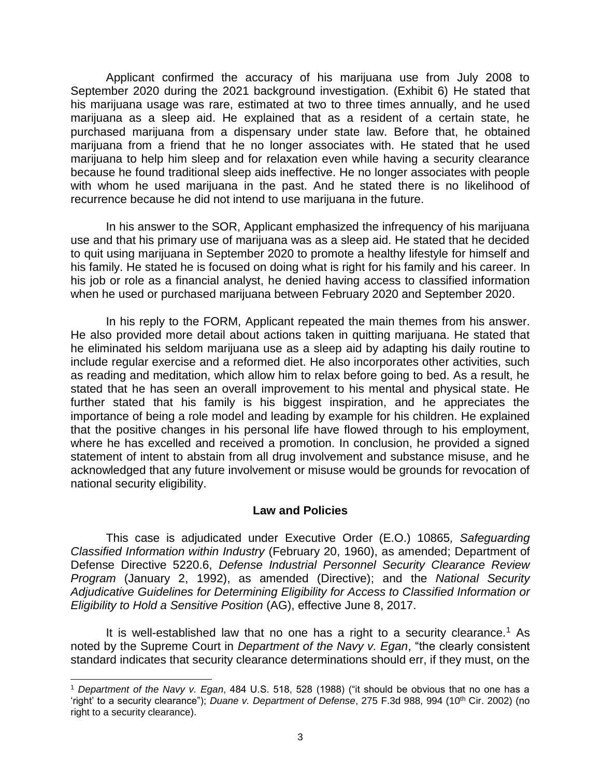Applicant confirmed the accuracy of his marijuana use from July 2008 to September 2020 during the 2021 background investigation. (Exhibit 6) He stated that his marijuana usage was rare, estimated at two to three times annually, and he used marijuana as a sleep aid. He explained that as a resident of a certain state, he purchased marijuana from a dispensary under state law. Before that, he obtained marijuana from a friend that he no longer associates with. He stated that he used marijuana to help him sleep and for relaxation even while having a security clearance because he found traditional sleep aids ineffective. He no longer associates with people with whom he used marijuana in the past. And he stated there is no likelihood of recurrence because he did not intend to use marijuana in the future.

 In his answer to the SOR, Applicant emphasized the infrequency of his marijuana use and that his primary use of marijuana was as a sleep aid. He stated that he decided to quit using marijuana in September 2020 to promote a healthy lifestyle for himself and his family. He stated he is focused on doing what is right for his family and his career. In his job or role as a financial analyst, he denied having access to classified information when he used or purchased marijuana between February 2020 and September 2020.

 In his reply to the FORM, Applicant repeated the main themes from his answer. He also provided more detail about actions taken in quitting marijuana. He stated that he eliminated his seldom marijuana use as a sleep aid by adapting his daily routine to include regular exercise and a reformed diet. He also incorporates other activities, such as reading and meditation, which allow him to relax before going to bed. As a result, he stated that he has seen an overall improvement to his mental and physical state. He further stated that his family is his biggest inspiration, and he appreciates the importance of being a role model and leading by example for his children. He explained that the positive changes in his personal life have flowed through to his employment, where he has excelled and received a promotion. In conclusion, he provided a signed statement of intent to abstain from all drug involvement and substance misuse, and he acknowledged that any future involvement or misuse would be grounds for revocation of national security eligibility.

## **Law and Policies**

 Defense Directive 5220.6, *Defense Industrial Personnel Security Clearance Review Adjudicative Guidelines for Determining Eligibility for Access to Classified Information or*  This case is adjudicated under Executive Order (E.O.) 10865*, Safeguarding Classified Information within Industry* (February 20, 1960), as amended; Department of *Program* (January 2, 1992), as amended (Directive); and the *National Security Eligibility to Hold a Sensitive Position* (AG), effective June 8, 2017.

It is well-established law that no one has a right to a security clearance.<sup>1</sup> As noted by the Supreme Court in *Department of the Navy v. Egan*, "the clearly consistent standard indicates that security clearance determinations should err, if they must, on the

 $\overline{a}$ 

<sup>1</sup> *Department of the Navy v. Egan*, 484 U.S. 518, 528 (1988) ("it should be obvious that no one has a 'right' to a security clearance"); *Duane v. Department of Defense*, 275 F.3d 988, 994 (10<sup>th</sup> Cir. 2002) (no right to a security clearance).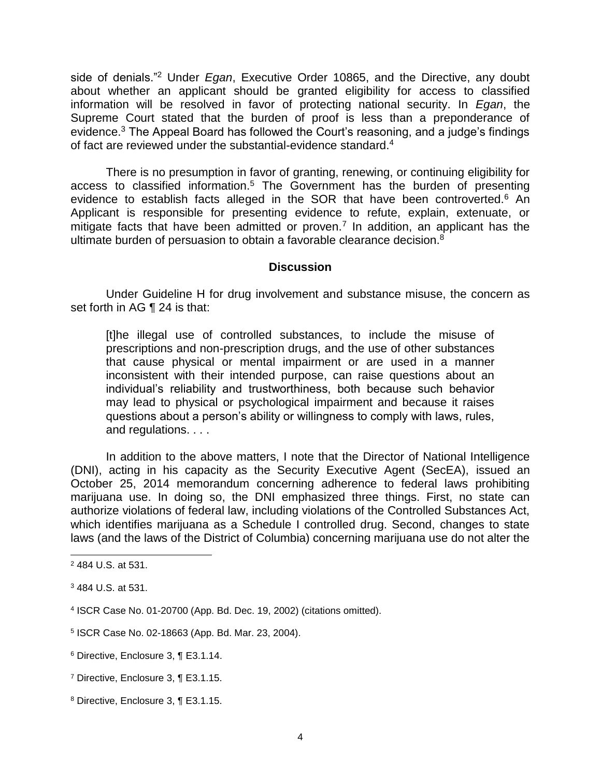side of denials."2 Under *Egan*, Executive Order 10865, and the Directive, any doubt about whether an applicant should be granted eligibility for access to classified information will be resolved in favor of protecting national security. In *Egan*, the Supreme Court stated that the burden of proof is less than a preponderance of evidence. $^3$  The Appeal Board has followed the Court's reasoning, and a judge's findings of fact are reviewed under the substantial-evidence standard.<sup>4</sup>

 There is no presumption in favor of granting, renewing, or continuing eligibility for access to classified information.<sup>5</sup> The Government has the burden of presenting evidence to establish facts alleged in the SOR that have been controverted.<sup>6</sup> An Applicant is responsible for presenting evidence to refute, explain, extenuate, or mitigate facts that have been admitted or proven.<sup>7</sup> In addition, an applicant has the ultimate burden of persuasion to obtain a favorable clearance decision.<sup>8</sup>

#### **Discussion**

 Under Guideline H for drug involvement and substance misuse, the concern as set forth in AG ¶ 24 is that:

[t]he illegal use of controlled substances, to include the misuse of prescriptions and non-prescription drugs, and the use of other substances that cause physical or mental impairment or are used in a manner inconsistent with their intended purpose, can raise questions about an individual's reliability and trustworthiness, both because such behavior may lead to physical or psychological impairment and because it raises questions about a person's ability or willingness to comply with laws, rules, and regulations. . . .

 In addition to the above matters, I note that the Director of National Intelligence (DNI), acting in his capacity as the Security Executive Agent (SecEA), issued an October 25, 2014 memorandum concerning adherence to federal laws prohibiting marijuana use. In doing so, the DNI emphasized three things. First, no state can authorize violations of federal law, including violations of the Controlled Substances Act, which identifies marijuana as a Schedule I controlled drug. Second, changes to state laws (and the laws of the District of Columbia) concerning marijuana use do not alter the

l

<sup>2 484</sup> U.S. at 531.

<sup>3</sup> 484 U.S. at 531.

<sup>4</sup> ISCR Case No. 01-20700 (App. Bd. Dec. 19, 2002) (citations omitted).

<sup>5</sup> ISCR Case No. 02-18663 (App. Bd. Mar. 23, 2004).

<sup>6</sup> Directive, Enclosure 3, ¶ E3.1.14.

<sup>7</sup> Directive, Enclosure 3, ¶ E3.1.15.

<sup>8</sup> Directive, Enclosure 3, ¶ E3.1.15.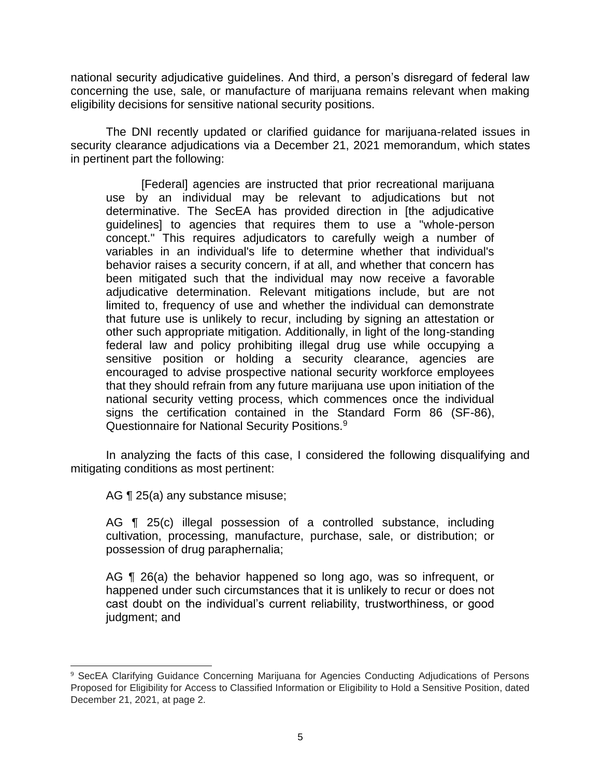national security adjudicative guidelines. And third, a person's disregard of federal law concerning the use, sale, or manufacture of marijuana remains relevant when making eligibility decisions for sensitive national security positions.

The DNI recently updated or clarified guidance for marijuana-related issues in security clearance adjudications via a December 21, 2021 memorandum, which states in pertinent part the following:

[Federal] agencies are instructed that prior recreational marijuana use by an individual may be relevant to adjudications but not determinative. The SecEA has provided direction in [the adjudicative guidelines] to agencies that requires them to use a "whole-person concept." This requires adjudicators to carefully weigh a number of variables in an individual's life to determine whether that individual's behavior raises a security concern, if at all, and whether that concern has been mitigated such that the individual may now receive a favorable adjudicative determination. Relevant mitigations include, but are not limited to, frequency of use and whether the individual can demonstrate that future use is unlikely to recur, including by signing an attestation or other such appropriate mitigation. Additionally, in light of the long-standing federal law and policy prohibiting illegal drug use while occupying a sensitive position or holding a security clearance, agencies are encouraged to advise prospective national security workforce employees that they should refrain from any future marijuana use upon initiation of the national security vetting process, which commences once the individual signs the certification contained in the Standard Form 86 (SF-86), Questionnaire for National Security Positions.9

 In analyzing the facts of this case, I considered the following disqualifying and mitigating conditions as most pertinent:

AG ¶ 25(a) any substance misuse;

 AG ¶ 25(c) illegal possession of a controlled substance, including cultivation, processing, manufacture, purchase, sale, or distribution; or possession of drug paraphernalia;

AG ¶ 26(a) the behavior happened so long ago, was so infrequent, or happened under such circumstances that it is unlikely to recur or does not cast doubt on the individual's current reliability, trustworthiness, or good judgment; and

 $\overline{a}$ <sup>9</sup> SecEA Clarifying Guidance Concerning Marijuana for Agencies Conducting Adjudications of Persons Proposed for Eligibility for Access to Classified Information or Eligibility to Hold a Sensitive Position, dated December 21, 2021, at page 2.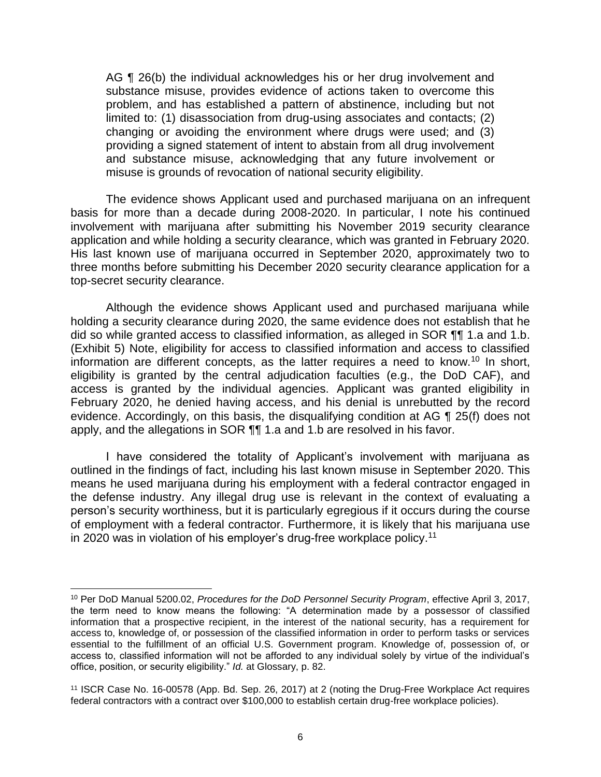AG ¶ 26(b) the individual acknowledges his or her drug involvement and substance misuse, provides evidence of actions taken to overcome this problem, and has established a pattern of abstinence, including but not limited to: (1) disassociation from drug-using associates and contacts; (2) changing or avoiding the environment where drugs were used; and (3) providing a signed statement of intent to abstain from all drug involvement and substance misuse, acknowledging that any future involvement or misuse is grounds of revocation of national security eligibility.

 The evidence shows Applicant used and purchased marijuana on an infrequent basis for more than a decade during 2008-2020. In particular, I note his continued involvement with marijuana after submitting his November 2019 security clearance application and while holding a security clearance, which was granted in February 2020. His last known use of marijuana occurred in September 2020, approximately two to three months before submitting his December 2020 security clearance application for a top-secret security clearance.

 Although the evidence shows Applicant used and purchased marijuana while holding a security clearance during 2020, the same evidence does not establish that he did so while granted access to classified information, as alleged in SOR ¶¶ 1.a and 1.b. (Exhibit 5) Note, eligibility for access to classified information and access to classified information are different concepts, as the latter requires a need to know.<sup>10</sup> In short, eligibility is granted by the central adjudication faculties (e.g., the DoD CAF), and access is granted by the individual agencies. Applicant was granted eligibility in February 2020, he denied having access, and his denial is unrebutted by the record evidence. Accordingly, on this basis, the disqualifying condition at AG ¶ 25(f) does not apply, and the allegations in SOR ¶¶ 1.a and 1.b are resolved in his favor.

I have considered the totality of Applicant's involvement with marijuana as outlined in the findings of fact, including his last known misuse in September 2020. This means he used marijuana during his employment with a federal contractor engaged in the defense industry. Any illegal drug use is relevant in the context of evaluating a person's security worthiness, but it is particularly egregious if it occurs during the course of employment with a federal contractor. Furthermore, it is likely that his marijuana use in 2020 was in violation of his employer's drug-free workplace [policy.](https://policy.11)<sup>11</sup>

l

<sup>10</sup> Per DoD Manual 5200.02, *Procedures for the DoD Personnel Security Program*, effective April 3, 2017, the term need to know means the following: "A determination made by a possessor of classified information that a prospective recipient, in the interest of the national security, has a requirement for access to, knowledge of, or possession of the classified information in order to perform tasks or services essential to the fulfillment of an official U.S. Government program. Knowledge of, possession of, or access to, classified information will not be afforded to any individual solely by virtue of the individual's office, position, or security eligibility." *Id.* at Glossary, p. 82.

 11 ISCR Case No. 16-00578 (App. Bd. Sep. 26, 2017) at 2 (noting the Drug-Free Workplace Act requires federal contractors with a contract over \$100,000 to establish certain drug-free workplace policies).